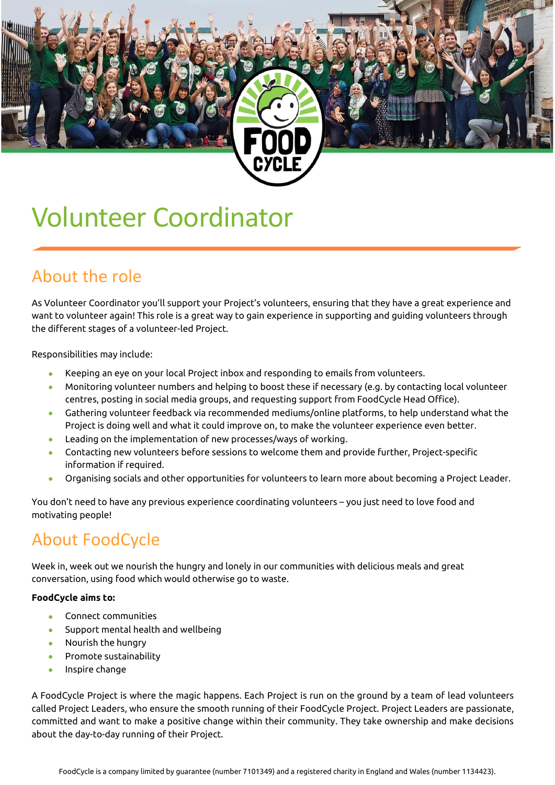# Volunteer Coordinator

#### About the role

As Volunteer Coordinator you'll support your Project's volunteers, ensuring that they have a great experience and want to volunteer again! This role is a great way to gain experience in supporting and guiding volunteers through the different stages of a volunteer-led Project.

Responsibilities may include:

- Keeping an eye on your local Project inbox and responding to emails from volunteers.
- Monitoring volunteer numbers and helping to boost these if necessary (e.g. by contacting local volunteer centres, posting in social media groups, and requesting support from FoodCycle Head Office).
- Gathering volunteer feedback via recommended mediums/online platforms, to help understand what the Project is doing well and what it could improve on, to make the volunteer experience even better.
- Leading on the implementation of new processes/ways of working.
- Contacting new volunteers before sessions to welcome them and provide further, Project-specific information if required.
- Organising socials and other opportunities for volunteers to learn more about becoming a Project Leader.

You don't need to have any previous experience coordinating volunteers – you just need to love food and motivating people!

#### About FoodCycle

Week in, week out we nourish the hungry and lonely in our communities with delicious meals and great conversation, using food which would otherwise go to waste.

#### **FoodCycle aims to:**

- Connect communities
- Support mental health and wellbeing
- Nourish the hungry
- Promote sustainability
- Inspire change

A FoodCycle Project is where the magic happens. Each Project is run on the ground by a team of lead volunteers called Project Leaders, who ensure the smooth running of their FoodCycle Project. Project Leaders are passionate, committed and want to make a positive change within their community. They take ownership and make decisions about the day-to-day running of their Project.